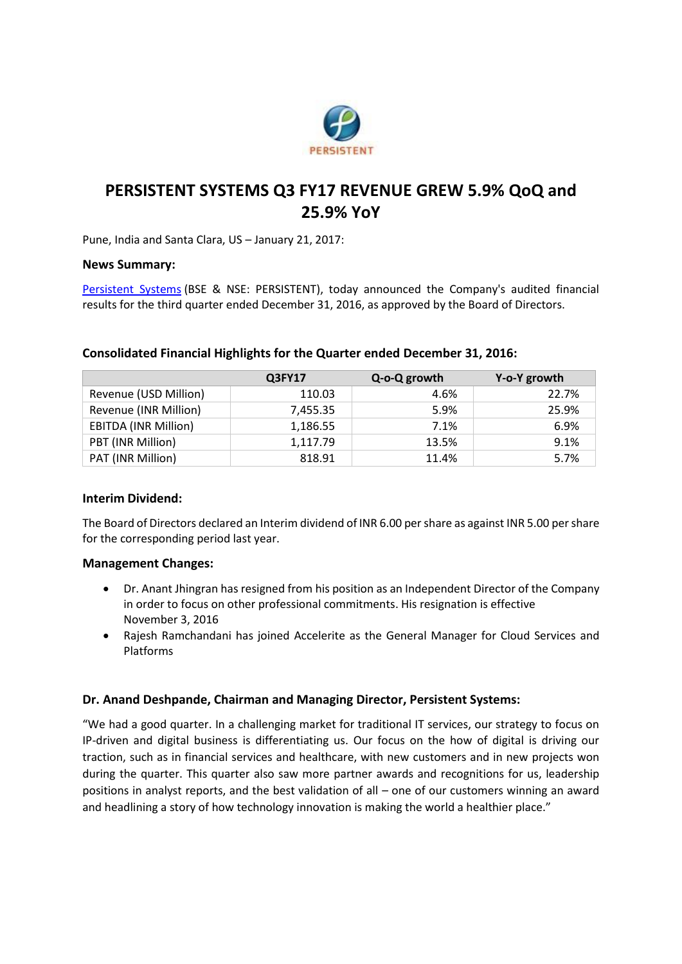

# **PERSISTENT SYSTEMS Q3 FY17 REVENUE GREW 5.9% QoQ and 25.9% YoY**

Pune, India and Santa Clara, US – January 21, 2017:

## **News Summary:**

[Persistent Systems](http://www.persistent.com/) (BSE & NSE: PERSISTENT), today announced the Company's audited financial results for the third quarter ended December 31, 2016, as approved by the Board of Directors.

|                             | Q3FY17   | Q-o-Q growth | Y-o-Y growth |
|-----------------------------|----------|--------------|--------------|
| Revenue (USD Million)       | 110.03   | 4.6%         | 22.7%        |
| Revenue (INR Million)       | 7,455.35 | 5.9%         | 25.9%        |
| <b>EBITDA (INR Million)</b> | 1,186.55 | 7.1%         | 6.9%         |
| PBT (INR Million)           | 1,117.79 | 13.5%        | 9.1%         |
| PAT (INR Million)           | 818.91   | 11.4%        | 5.7%         |

## **Consolidated Financial Highlights for the Quarter ended December 31, 2016:**

#### **Interim Dividend:**

The Board of Directors declared an Interim dividend of INR 6.00 per share as against INR 5.00 per share for the corresponding period last year.

#### **Management Changes:**

- Dr. Anant Jhingran has resigned from his position as an Independent Director of the Company in order to focus on other professional commitments. His resignation is effective November 3, 2016
- Rajesh Ramchandani has joined Accelerite as the General Manager for Cloud Services and Platforms

# **Dr. Anand Deshpande, Chairman and Managing Director, Persistent Systems:**

"We had a good quarter. In a challenging market for traditional IT services, our strategy to focus on IP-driven and digital business is differentiating us. Our focus on the how of digital is driving our traction, such as in financial services and healthcare, with new customers and in new projects won during the quarter. This quarter also saw more partner awards and recognitions for us, leadership positions in analyst reports, and the best validation of all – one of our customers winning an award and headlining a story of how technology innovation is making the world a healthier place."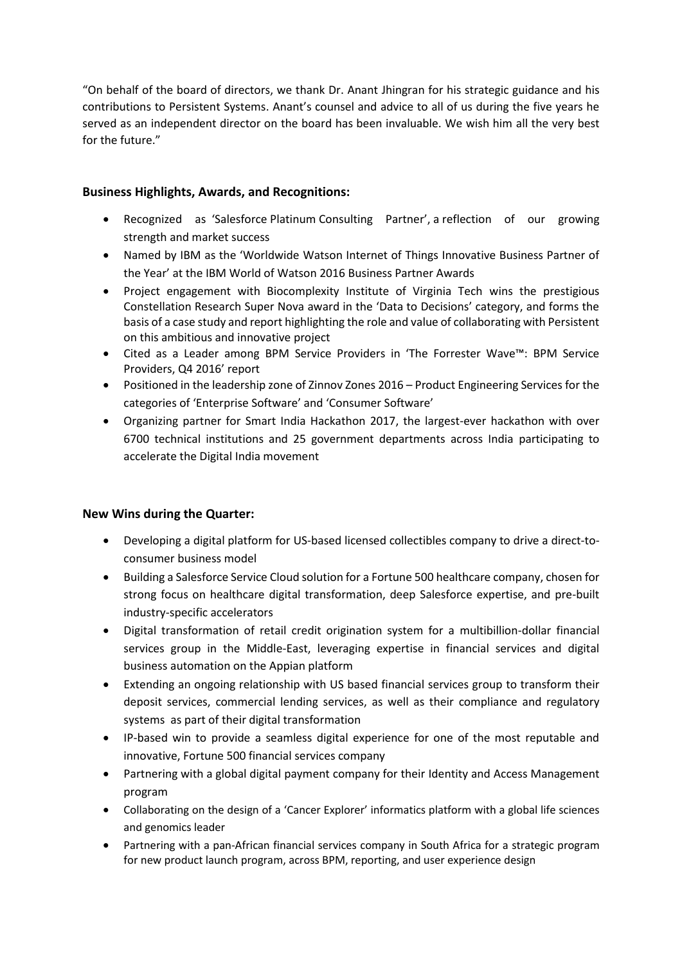"On behalf of the board of directors, we thank Dr. Anant Jhingran for his strategic guidance and his contributions to Persistent Systems. Anant's counsel and advice to all of us during the five years he served as an independent director on the board has been invaluable. We wish him all the very best for the future."

# **Business Highlights, Awards, and Recognitions:**

- Recognized as 'Salesforce Platinum Consulting Partner', a reflection of our growing strength and market success
- Named by IBM as the 'Worldwide Watson Internet of Things Innovative Business Partner of the Year' at the IBM World of Watson 2016 Business Partner Awards
- Project engagement with Biocomplexity Institute of Virginia Tech wins the prestigious Constellation Research Super Nova award in the 'Data to Decisions' category, and forms the basis of a case study and report highlighting the role and value of collaborating with Persistent on this ambitious and innovative project
- Cited as a Leader among BPM Service Providers in 'The Forrester Wave™: BPM Service Providers, Q4 2016' report
- Positioned in the leadership zone of Zinnov Zones 2016 Product Engineering Services for the categories of 'Enterprise Software' and 'Consumer Software'
- Organizing partner for Smart India Hackathon 2017, the largest-ever hackathon with over 6700 technical institutions and 25 government departments across India participating to accelerate the Digital India movement

# **New Wins during the Quarter:**

- Developing a digital platform for US-based licensed collectibles company to drive a direct-toconsumer business model
- Building a Salesforce Service Cloud solution for a Fortune 500 healthcare company, chosen for strong focus on healthcare digital transformation, deep Salesforce expertise, and pre-built industry-specific accelerators
- Digital transformation of retail credit origination system for a multibillion-dollar financial services group in the Middle-East, leveraging expertise in financial services and digital business automation on the Appian platform
- Extending an ongoing relationship with US based financial services group to transform their deposit services, commercial lending services, as well as their compliance and regulatory systems as part of their digital transformation
- IP-based win to provide a seamless digital experience for one of the most reputable and innovative, Fortune 500 financial services company
- Partnering with a global digital payment company for their Identity and Access Management program
- Collaborating on the design of a 'Cancer Explorer' informatics platform with a global life sciences and genomics leader
- Partnering with a pan-African financial services company in South Africa for a strategic program for new product launch program, across BPM, reporting, and user experience design